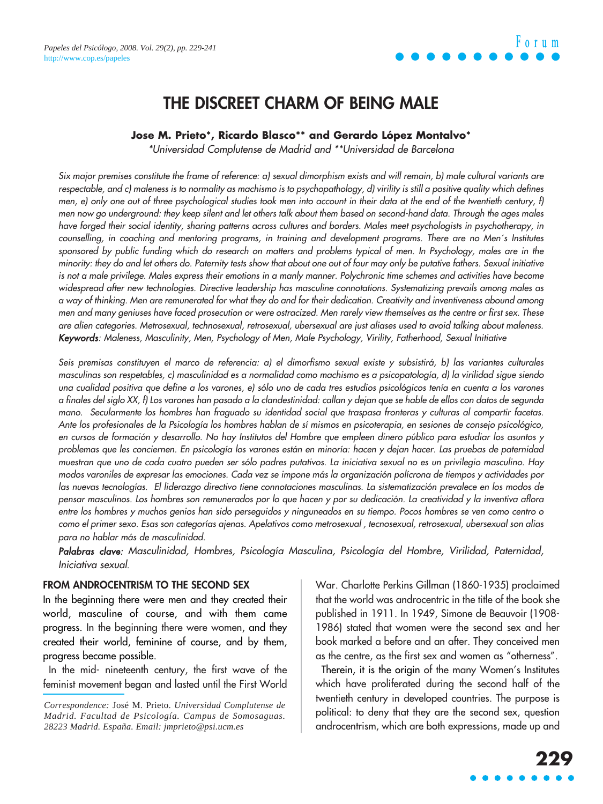

### **THE DISCREET CHARM OF BEING MALE**

#### **Jose M. Prieto\*, Ricardo Blasco\*\* and Gerardo López Montalvo\***

\*Universidad Complutense de Madrid and \*\*Universidad de Barcelona

Six major premises constitute the frame of reference: a) sexual dimorphism exists and will remain, b) male cultural variants are respectable, and c) maleness is to normality as machismo is to psychopathology, d) virility is still a positive quality which defines men, e) only one out of three psychological studies took men into account in their data at the end of the twentieth century, f) men now go underground: they keep silent and let others talk about them based on second-hand data. Through the ages males have forged their social identity, sharing patterns across cultures and borders. Males meet psychologists in psychotherapy, in counselling, in coaching and mentoring programs, in training and development programs. There are no Men´s Institutes sponsored by public funding which do research on matters and problems typical of men. In Psychology, males are in the minority: they do and let others do. Paternity tests show that about one out of four may only be putative fathers. Sexual initiative is not a male privilege. Males express their emotions in a manly manner. Polychronic time schemes and activities have become widespread after new technologies. Directive leadership has masculine connotations. Systematizing prevails among males as a way of thinking. Men are remunerated for what they do and for their dedication. Creativity and inventiveness abound among men and many geniuses have faced prosecution or were ostracized. Men rarely view themselves as the centre or first sex. These are alien categories. Metrosexual, technosexual, retrosexual, ubersexual are just aliases used to avoid talking about maleness. Keywords: Maleness, Masculinity, Men, Psychology of Men, Male Psychology, Virility, Fatherhood, Sexual Initiative

Seis premisas constituyen el marco de referencia: a) el dimorfismo sexual existe y subsistirá, b) las variantes culturales masculinas son respetables, c) masculinidad es a normalidad como machismo es a psicopatología, d) la virilidad sigue siendo una cualidad positiva que define a los varones, e) sólo uno de cada tres estudios psicológicos tenía en cuenta a los varones a finales del siglo XX, f) Los varones han pasado a la clandestinidad: callan y dejan que se hable de ellos con datos de segunda mano. Secularmente los hombres han fraguado su identidad social que traspasa fronteras y culturas al compartir facetas. Ante los profesionales de la Psicología los hombres hablan de sí mismos en psicoterapia, en sesiones de consejo psicológico, en cursos de formación y desarrollo. No hay Institutos del Hombre que empleen dinero público para estudiar los asuntos y problemas que les conciernen. En psicología los varones están en minoría: hacen y dejan hacer. Las pruebas de paternidad muestran que uno de cada cuatro pueden ser sólo padres putativos. La iniciativa sexual no es un privilegio masculino. Hay modos varoniles de expresar las emociones. Cada vez se impone más la organización polícrona de tiempos y actividades por las nuevas tecnologías. El liderazgo directivo tiene connotaciones masculinas. La sistematización prevalece en los modos de pensar masculinos. Los hombres son remunerados por lo que hacen y por su dedicación. La creatividad y la inventiva aflora entre los hombres y muchos genios han sido perseguidos y ninguneados en su tiempo. Pocos hombres se ven como centro o como el primer sexo. Esas son categorías ajenas. Apelativos como metrosexual, tecnosexual, retrosexual, ubersexual son alias para no hablar más de masculinidad.

Palabras clave: Masculinidad, Hombres, Psicología Masculina, Psicología del Hombre, Virilidad, Paternidad, Iniciativa sexual.

#### **FROM ANDROCENTRISM TO THE SECOND SEX**

In the beginning there were men and they created their world, masculine of course, and with them came progress. In the beginning there were women, and they created their world, feminine of course, and by them, progress became possible.

In the mid- nineteenth century, the first wave of the feminist movement began and lasted until the First World

*Correspondence:* José M. Prieto. *Universidad Complutense de Madrid. Facultad de Psicología. Campus de Somosaguas. 28223 Madrid. España. Email: jmprieto@psi.ucm.es*

War. Charlotte Perkins Gillman (1860-1935) proclaimed that the world was androcentric in the title of the book she published in 1911. In 1949, Simone de Beauvoir (1908- 1986) stated that women were the second sex and her book marked a before and an after. They conceived men as the centre, as the first sex and women as "otherness".

Therein, it is the origin of the many Women's Institutes which have proliferated during the second half of the twentieth century in developed countries. The purpose is political: to deny that they are the second sex, question androcentrism, which are both expressions, made up and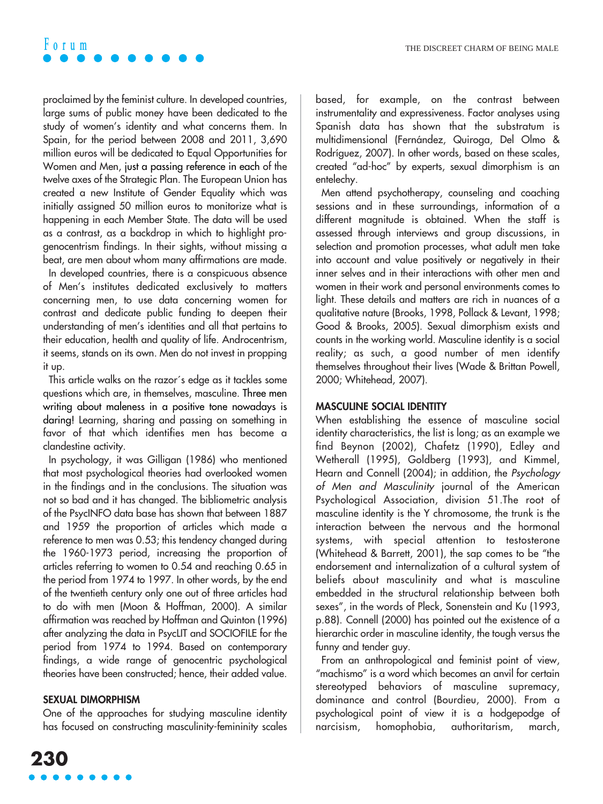proclaimed by the feminist culture. In developed countries, large sums of public money have been dedicated to the study of women's identity and what concerns them. In Spain, for the period between 2008 and 2011, 3,690 million euros will be dedicated to Equal Opportunities for Women and Men, just a passing reference in each of the twelve axes of the Strategic Plan. The European Union has created a new Institute of Gender Equality which was initially assigned 50 million euros to monitorize what is happening in each Member State. The data will be used as a contrast, as a backdrop in which to highlight progenocentrism findings. In their sights, without missing a beat, are men about whom many affirmations are made.

In developed countries, there is a conspicuous absence of Men's institutes dedicated exclusively to matters concerning men, to use data concerning women for contrast and dedicate public funding to deepen their understanding of men's identities and all that pertains to their education, health and quality of life. Androcentrism, it seems, stands on its own. Men do not invest in propping it up.

This article walks on the razor´s edge as it tackles some questions which are, in themselves, masculine. Three men writing about maleness in a positive tone nowadays is daring! Learning, sharing and passing on something in favor of that which identifies men has become a clandestine activity.

In psychology, it was Gilligan (1986) who mentioned that most psychological theories had overlooked women in the findings and in the conclusions. The situation was not so bad and it has changed. The bibliometric analysis of the PsycINFO data base has shown that between 1887 and 1959 the proportion of articles which made a reference to men was 0.53; this tendency changed during the 1960-1973 period, increasing the proportion of articles referring to women to 0.54 and reaching 0.65 in the period from 1974 to 1997. In other words, by the end of the twentieth century only one out of three articles had to do with men (Moon & Hoffman, 2000). A similar affirmation was reached by Hoffman and Quinton (1996) after analyzing the data in PsycLIT and SOCIOFILE for the period from 1974 to 1994. Based on contemporary findings, a wide range of genocentric psychological theories have been constructed; hence, their added value.

#### **SEXUAL DIMORPHISM**

One of the approaches for studying masculine identity has focused on constructing masculinity-femininity scales based, for example, on the contrast between instrumentality and expressiveness. Factor analyses using Spanish data has shown that the substratum is multidimensional (Fernández, Quiroga, Del Olmo & Rodríguez, 2007). In other words, based on these scales, created "ad-hoc" by experts, sexual dimorphism is an entelechy.

Men attend psychotherapy, counseling and coaching sessions and in these surroundings, information of a different magnitude is obtained. When the staff is assessed through interviews and group discussions, in selection and promotion processes, what adult men take into account and value positively or negatively in their inner selves and in their interactions with other men and women in their work and personal environments comes to light. These details and matters are rich in nuances of a qualitative nature (Brooks, 1998, Pollack & Levant, 1998; Good & Brooks, 2005). Sexual dimorphism exists and counts in the working world. Masculine identity is a social reality; as such, a good number of men identify themselves throughout their lives (Wade & Brittan Powell, 2000; Whitehead, 2007).

#### **MASCULINE SOCIAL IDENTITY**

When establishing the essence of masculine social identity characteristics, the list is long; as an example we find Beynon (2002), Chafetz (1990), Edley and Wetherall (1995), Goldberg (1993), and Kimmel, Hearn and Connell (2004); in addition, the Psychology of Men and Masculinity journal of the American Psychological Association, division 51.The root of masculine identity is the Y chromosome, the trunk is the interaction between the nervous and the hormonal systems, with special attention to testosterone (Whitehead & Barrett, 2001), the sap comes to be "the endorsement and internalization of a cultural system of beliefs about masculinity and what is masculine embedded in the structural relationship between both sexes", in the words of Pleck, Sonenstein and Ku (1993, p.88). Connell (2000) has pointed out the existence of a hierarchic order in masculine identity, the tough versus the funny and tender guy.

From an anthropological and feminist point of view, "machismo" is a word which becomes an anvil for certain stereotyped behaviors of masculine supremacy, dominance and control (Bourdieu, 2000). From a psychological point of view it is a hodgepodge of narcisism, homophobia, authoritarism, march,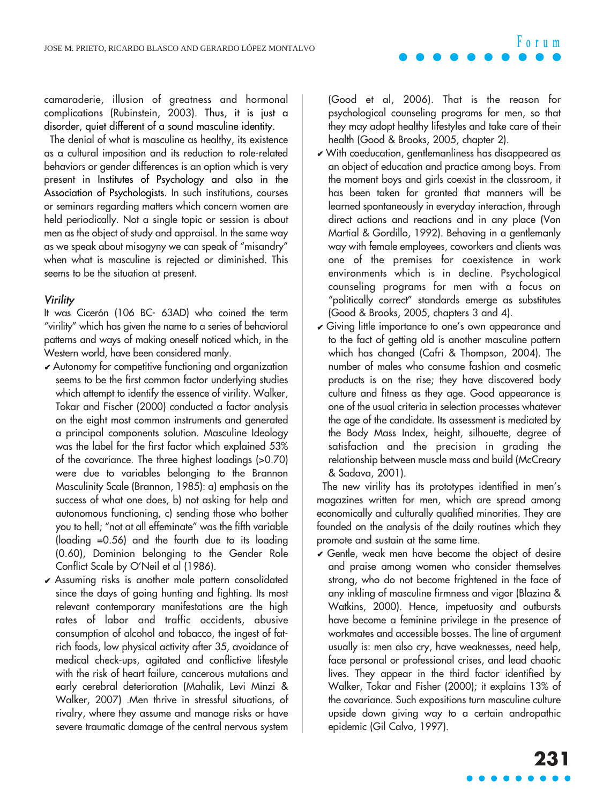camaraderie, illusion of greatness and hormonal complications (Rubinstein, 2003). Thus, it is just a disorder, quiet different of a sound masculine identity.

The denial of what is masculine as healthy, its existence as a cultural imposition and its reduction to role-related behaviors or gender differences is an option which is very present in Institutes of Psychology and also in the Association of Psychologists. In such institutions, courses or seminars regarding matters which concern women are held periodically. Not a single topic or session is about men as the object of study and appraisal. In the same way as we speak about misogyny we can speak of "misandry" when what is masculine is rejected or diminished. This seems to be the situation at present.

#### **Virility**

It was Cicerón (106 BC- 63AD) who coined the term "virility" which has given the name to a series of behavioral patterns and ways of making oneself noticed which, in the Western world, have been considered manly.

- ✔ Autonomy for competitive functioning and organization seems to be the first common factor underlying studies which attempt to identify the essence of virility. Walker, Tokar and Fischer (2000) conducted a factor analysis on the eight most common instruments and generated a principal components solution. Masculine Ideology was the label for the first factor which explained 53% of the covariance. The three highest loadings (>0.70) were due to variables belonging to the Brannon Masculinity Scale (Brannon, 1985): a) emphasis on the success of what one does, b) not asking for help and autonomous functioning, c) sending those who bother you to hell; "not at all effeminate" was the fifth variable (loading =0.56) and the fourth due to its loading (0.60), Dominion belonging to the Gender Role Conflict Scale by O'Neil et al (1986).
- ✔ Assuming risks is another male pattern consolidated since the days of going hunting and fighting. Its most relevant contemporary manifestations are the high rates of labor and traffic accidents, abusive consumption of alcohol and tobacco, the ingest of fatrich foods, low physical activity after 35, avoidance of medical check-ups, agitated and conflictive lifestyle with the risk of heart failure, cancerous mutations and early cerebral deterioration (Mahalik, Levi Minzi & Walker, 2007) .Men thrive in stressful situations, of rivalry, where they assume and manage risks or have severe traumatic damage of the central nervous system

(Good et al, 2006). That is the reason for psychological counseling programs for men, so that they may adopt healthy lifestyles and take care of their health (Good & Brooks, 2005, chapter 2).

- ✔ With coeducation, gentlemanliness has disappeared as an object of education and practice among boys. From the moment boys and girls coexist in the classroom, it has been taken for granted that manners will be learned spontaneously in everyday interaction, through direct actions and reactions and in any place (Von Martial & Gordillo, 1992). Behaving in a gentlemanly way with female employees, coworkers and clients was one of the premises for coexistence in work environments which is in decline. Psychological counseling programs for men with a focus on "politically correct" standards emerge as substitutes (Good & Brooks, 2005, chapters 3 and 4).
- ✔ Giving little importance to one's own appearance and to the fact of getting old is another masculine pattern which has changed (Cafri & Thompson, 2004). The number of males who consume fashion and cosmetic products is on the rise; they have discovered body culture and fitness as they age. Good appearance is one of the usual criteria in selection processes whatever the age of the candidate. Its assessment is mediated by the Body Mass Index, height, silhouette, degree of satisfaction and the precision in grading the relationship between muscle mass and build (McCreary & Sadava, 2001).

The new virility has its prototypes identified in men's magazines written for men, which are spread among economically and culturally qualified minorities. They are founded on the analysis of the daily routines which they promote and sustain at the same time.

 $\checkmark$  Gentle, weak men have become the object of desire and praise among women who consider themselves strong, who do not become frightened in the face of any inkling of masculine firmness and vigor (Blazina & Watkins, 2000). Hence, impetuosity and outbursts have become a feminine privilege in the presence of workmates and accessible bosses. The line of argument usually is: men also cry, have weaknesses, need help, face personal or professional crises, and lead chaotic lives. They appear in the third factor identified by Walker, Tokar and Fisher (2000); it explains 13% of the covariance. Such expositions turn masculine culture upside down giving way to a certain andropathic epidemic (Gil Calvo, 1997).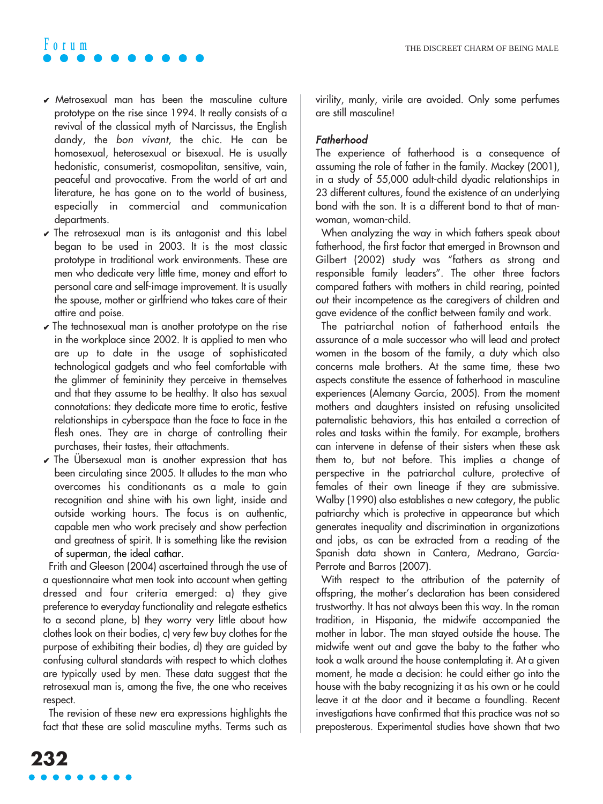- $\vee$  Metrosexual man has been the masculine culture prototype on the rise since 1994. It really consists of a revival of the classical myth of Narcissus, the English dandy, the bon vivant, the chic. He can be homosexual, heterosexual or bisexual. He is usually hedonistic, consumerist, cosmopolitan, sensitive, vain, peaceful and provocative. From the world of art and literature, he has gone on to the world of business, especially in commercial and communication departments.
- $\checkmark$  The retrosexual man is its antagonist and this label began to be used in 2003. It is the most classic prototype in traditional work environments. These are men who dedicate very little time, money and effort to personal care and self-image improvement. It is usually the spouse, mother or girlfriend who takes care of their attire and poise.
- $\vee$  The technosexual man is another prototype on the rise in the workplace since 2002. It is applied to men who are up to date in the usage of sophisticated technological gadgets and who feel comfortable with the glimmer of femininity they perceive in themselves and that they assume to be healthy. It also has sexual connotations: they dedicate more time to erotic, festive relationships in cyberspace than the face to face in the flesh ones. They are in charge of controlling their purchases, their tastes, their attachments.
- $\vee$  The Übersexual man is another expression that has been circulating since 2005. It alludes to the man who overcomes his conditionants as a male to gain recognition and shine with his own light, inside and outside working hours. The focus is on authentic, capable men who work precisely and show perfection and greatness of spirit. It is something like the revision of superman, the ideal cathar.

Frith and Gleeson (2004) ascertained through the use of a questionnaire what men took into account when getting dressed and four criteria emerged: a) they give preference to everyday functionality and relegate esthetics to a second plane, b) they worry very little about how clothes look on their bodies, c) very few buy clothes for the purpose of exhibiting their bodies, d) they are guided by confusing cultural standards with respect to which clothes are typically used by men. These data suggest that the retrosexual man is, among the five, the one who receives respect.

The revision of these new era expressions highlights the fact that these are solid masculine myths. Terms such as virility, manly, virile are avoided. Only some perfumes are still masculine!

#### Fatherhood

The experience of fatherhood is a consequence of assuming the role of father in the family. Mackey (2001), in a study of 55,000 adult-child dyadic relationships in 23 different cultures, found the existence of an underlying bond with the son. It is a different bond to that of manwoman, woman-child.

When analyzing the way in which fathers speak about fatherhood, the first factor that emerged in Brownson and Gilbert (2002) study was "fathers as strong and responsible family leaders". The other three factors compared fathers with mothers in child rearing, pointed out their incompetence as the caregivers of children and gave evidence of the conflict between family and work.

The patriarchal notion of fatherhood entails the assurance of a male successor who will lead and protect women in the bosom of the family, a duty which also concerns male brothers. At the same time, these two aspects constitute the essence of fatherhood in masculine experiences (Alemany García, 2005). From the moment mothers and daughters insisted on refusing unsolicited paternalistic behaviors, this has entailed a correction of roles and tasks within the family. For example, brothers can intervene in defense of their sisters when these ask them to, but not before. This implies a change of perspective in the patriarchal culture, protective of females of their own lineage if they are submissive. Walby (1990) also establishes a new category, the public patriarchy which is protective in appearance but which generates inequality and discrimination in organizations and jobs, as can be extracted from a reading of the Spanish data shown in Cantera, Medrano, García-Perrote and Barros (2007).

With respect to the attribution of the paternity of offspring, the mother's declaration has been considered trustworthy. It has not always been this way. In the roman tradition, in Hispania, the midwife accompanied the mother in labor. The man stayed outside the house. The midwife went out and gave the baby to the father who took a walk around the house contemplating it. At a given moment, he made a decision: he could either go into the house with the baby recognizing it as his own or he could leave it at the door and it became a foundling. Recent investigations have confirmed that this practice was not so preposterous. Experimental studies have shown that two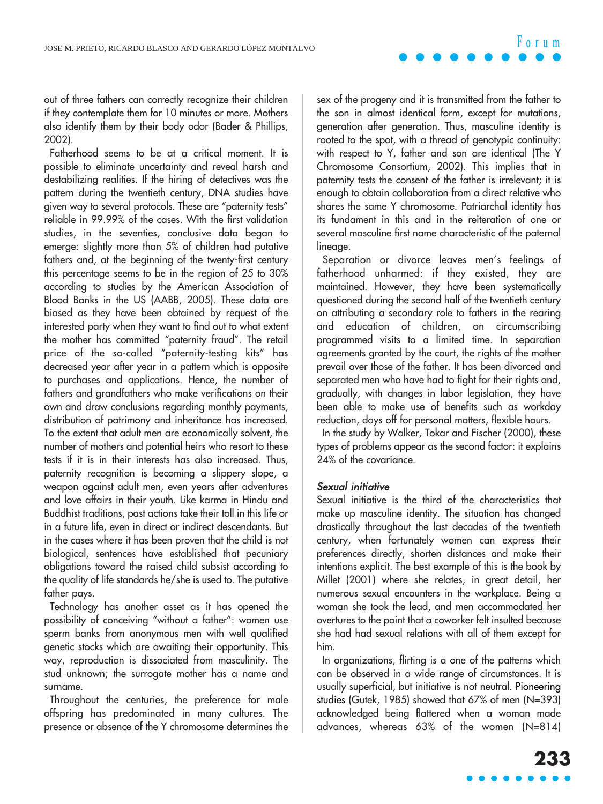out of three fathers can correctly recognize their children if they contemplate them for 10 minutes or more. Mothers also identify them by their body odor (Bader & Phillips, 2002).

Fatherhood seems to be at a critical moment. It is possible to eliminate uncertainty and reveal harsh and destabilizing realities. If the hiring of detectives was the pattern during the twentieth century, DNA studies have given way to several protocols. These are "paternity tests" reliable in 99.99% of the cases. With the first validation studies, in the seventies, conclusive data began to emerge: slightly more than 5% of children had putative fathers and, at the beginning of the twenty-first century this percentage seems to be in the region of 25 to 30% according to studies by the American Association of Blood Banks in the US (AABB, 2005). These data are biased as they have been obtained by request of the interested party when they want to find out to what extent the mother has committed "paternity fraud". The retail price of the so-called "paternity-testing kits" has decreased year after year in a pattern which is opposite to purchases and applications. Hence, the number of fathers and grandfathers who make verifications on their own and draw conclusions regarding monthly payments, distribution of patrimony and inheritance has increased. To the extent that adult men are economically solvent, the number of mothers and potential heirs who resort to these tests if it is in their interests has also increased. Thus, paternity recognition is becoming a slippery slope, a weapon against adult men, even years after adventures and love affairs in their youth. Like karma in Hindu and Buddhist traditions, past actions take their toll in this life or in a future life, even in direct or indirect descendants. But in the cases where it has been proven that the child is not biological, sentences have established that pecuniary obligations toward the raised child subsist according to the quality of life standards he/she is used to. The putative father pays.

Technology has another asset as it has opened the possibility of conceiving "without a father": women use sperm banks from anonymous men with well qualified genetic stocks which are awaiting their opportunity. This way, reproduction is dissociated from masculinity. The stud unknown; the surrogate mother has a name and surname.

Throughout the centuries, the preference for male offspring has predominated in many cultures. The presence or absence of the Y chromosome determines the

sex of the progeny and it is transmitted from the father to the son in almost identical form, except for mutations, generation after generation. Thus, masculine identity is rooted to the spot, with a thread of genotypic continuity: with respect to Y, father and son are identical (The Y Chromosome Consortium, 2002). This implies that in paternity tests the consent of the father is irrelevant; it is enough to obtain collaboration from a direct relative who shares the same Y chromosome. Patriarchal identity has its fundament in this and in the reiteration of one or several masculine first name characteristic of the paternal lineage.

Separation or divorce leaves men's feelings of fatherhood unharmed: if they existed, they are maintained. However, they have been systematically questioned during the second half of the twentieth century on attributing a secondary role to fathers in the rearing and education of children, on circumscribing programmed visits to a limited time. In separation agreements granted by the court, the rights of the mother prevail over those of the father. It has been divorced and separated men who have had to fight for their rights and, gradually, with changes in labor legislation, they have been able to make use of benefits such as workday reduction, days off for personal matters, flexible hours.

In the study by Walker, Tokar and Fischer (2000), these types of problems appear as the second factor: it explains 24% of the covariance.

#### Sexual initiative

Sexual initiative is the third of the characteristics that make up masculine identity. The situation has changed drastically throughout the last decades of the twentieth century, when fortunately women can express their preferences directly, shorten distances and make their intentions explicit. The best example of this is the book by Millet (2001) where she relates, in great detail, her numerous sexual encounters in the workplace. Being a woman she took the lead, and men accommodated her overtures to the point that a coworker felt insulted because she had had sexual relations with all of them except for him.

In organizations, flirting is a one of the patterns which can be observed in a wide range of circumstances. It is usually superficial, but initiative is not neutral. Pioneering studies (Gutek, 1985) showed that 67% of men (N=393) acknowledged being flattered when a woman made advances, whereas 63% of the women (N=814)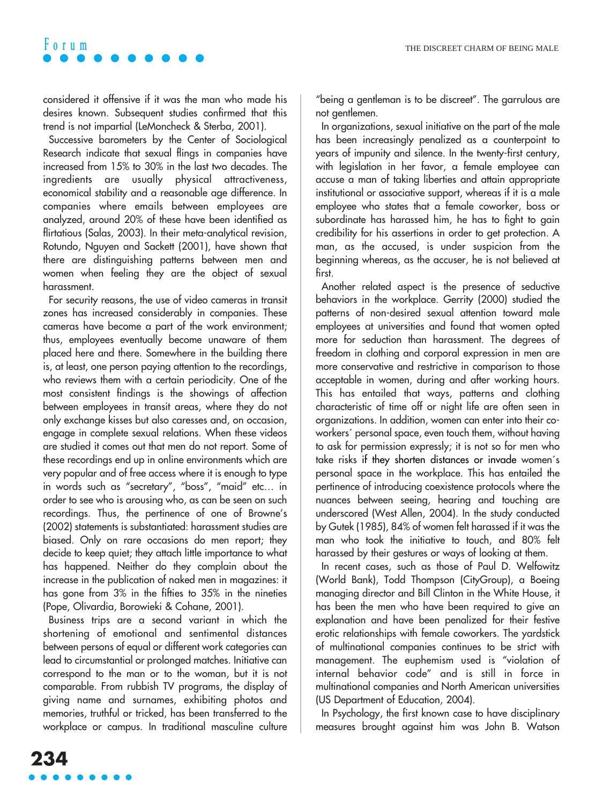considered it offensive if it was the man who made his desires known. Subsequent studies confirmed that this trend is not impartial (LeMoncheck & Sterba, 2001).

Successive barometers by the Center of Sociological Research indicate that sexual flings in companies have increased from 15% to 30% in the last two decades. The ingredients are usually physical attractiveness, economical stability and a reasonable age difference. In companies where emails between employees are analyzed, around 20% of these have been identified as flirtatious (Salas, 2003). In their meta-analytical revision, Rotundo, Nguyen and Sackett (2001), have shown that there are distinguishing patterns between men and women when feeling they are the object of sexual harassment.

For security reasons, the use of video cameras in transit zones has increased considerably in companies. These cameras have become a part of the work environment; thus, employees eventually become unaware of them placed here and there. Somewhere in the building there is, at least, one person paying attention to the recordings, who reviews them with a certain periodicity. One of the most consistent findings is the showings of affection between employees in transit areas, where they do not only exchange kisses but also caresses and, on occasion, engage in complete sexual relations. When these videos are studied it comes out that men do not report. Some of these recordings end up in online environments which are very popular and of free access where it is enough to type in words such as "secretary", "boss", "maid" etc… in order to see who is arousing who, as can be seen on such recordings. Thus, the pertinence of one of Browne's (2002) statements is substantiated: harassment studies are biased. Only on rare occasions do men report; they decide to keep quiet; they attach little importance to what has happened. Neither do they complain about the increase in the publication of naked men in magazines: it has gone from 3% in the fifties to 35% in the nineties (Pope, Olivardia, Borowieki & Cohane, 2001).

Business trips are a second variant in which the shortening of emotional and sentimental distances between persons of equal or different work categories can lead to circumstantial or prolonged matches. Initiative can correspond to the man or to the woman, but it is not comparable. From rubbish TV programs, the display of giving name and surnames, exhibiting photos and memories, truthful or tricked, has been transferred to the workplace or campus. In traditional masculine culture "being a gentleman is to be discreet". The garrulous are not gentlemen.

In organizations, sexual initiative on the part of the male has been increasingly penalized as a counterpoint to years of impunity and silence. In the twenty-first century, with legislation in her favor, a female employee can accuse a man of taking liberties and attain appropriate institutional or associative support, whereas if it is a male employee who states that a female coworker, boss or subordinate has harassed him, he has to fight to gain credibility for his assertions in order to get protection. A man, as the accused, is under suspicion from the beginning whereas, as the accuser, he is not believed at first.

Another related aspect is the presence of seductive behaviors in the workplace. Gerrity (2000) studied the patterns of non-desired sexual attention toward male employees at universities and found that women opted more for seduction than harassment. The degrees of freedom in clothing and corporal expression in men are more conservative and restrictive in comparison to those acceptable in women, during and after working hours. This has entailed that ways, patterns and clothing characteristic of time off or night life are often seen in organizations. In addition, women can enter into their coworkers´ personal space, even touch them, without having to ask for permission expressly; it is not so for men who take risks if they shorten distances or invade women´s personal space in the workplace. This has entailed the pertinence of introducing coexistence protocols where the nuances between seeing, hearing and touching are underscored (West Allen, 2004). In the study conducted by Gutek (1985), 84% of women felt harassed if it was the man who took the initiative to touch, and 80% felt harassed by their gestures or ways of looking at them.

In recent cases, such as those of Paul D. Welfowitz (World Bank), Todd Thompson (CityGroup), a Boeing managing director and Bill Clinton in the White House, it has been the men who have been required to give an explanation and have been penalized for their festive erotic relationships with female coworkers. The yardstick of multinational companies continues to be strict with management. The euphemism used is "violation of internal behavior code" and is still in force in multinational companies and North American universities (US Department of Education, 2004).

In Psychology, the first known case to have disciplinary measures brought against him was John B. Watson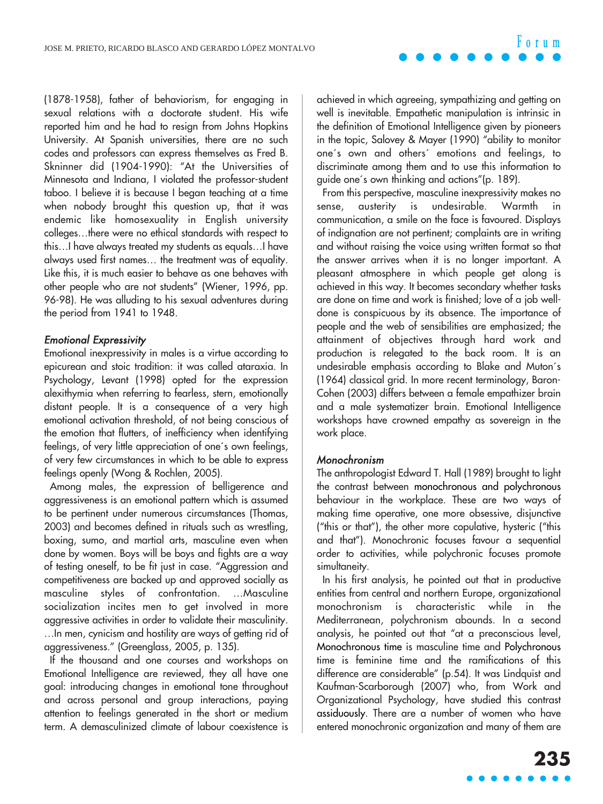(1878-1958), father of behaviorism, for engaging in sexual relations with a doctorate student. His wife reported him and he had to resign from Johns Hopkins University. At Spanish universities, there are no such codes and professors can express themselves as Fred B. Skninner did (1904-1990): "At the Universities of Minnesota and Indiana, I violated the professor-student taboo. I believe it is because I began teaching at a time when nobody brought this question up, that it was endemic like homosexuality in English university colleges…there were no ethical standards with respect to this…I have always treated my students as equals…I have always used first names… the treatment was of equality. Like this, it is much easier to behave as one behaves with other people who are not students" (Wiener, 1996, pp. 96-98). He was alluding to his sexual adventures during the period from 1941 to 1948.

#### Emotional Expressivity

Emotional inexpressivity in males is a virtue according to epicurean and stoic tradition: it was called ataraxia. In Psychology, Levant (1998) opted for the expression alexithymia when referring to fearless, stern, emotionally distant people. It is a consequence of a very high emotional activation threshold, of not being conscious of the emotion that flutters, of inefficiency when identifying feelings, of very little appreciation of one´s own feelings, of very few circumstances in which to be able to express feelings openly (Wong & Rochlen, 2005).

Among males, the expression of belligerence and aggressiveness is an emotional pattern which is assumed to be pertinent under numerous circumstances (Thomas, 2003) and becomes defined in rituals such as wrestling, boxing, sumo, and martial arts, masculine even when done by women. Boys will be boys and fights are a way of testing oneself, to be fit just in case. "Aggression and competitiveness are backed up and approved socially as masculine styles of confrontation. …Masculine socialization incites men to get involved in more aggressive activities in order to validate their masculinity. …In men, cynicism and hostility are ways of getting rid of aggressiveness." (Greenglass, 2005, p. 135).

If the thousand and one courses and workshops on Emotional Intelligence are reviewed, they all have one goal: introducing changes in emotional tone throughout and across personal and group interactions, paying attention to feelings generated in the short or medium term. A demasculinized climate of labour coexistence is

achieved in which agreeing, sympathizing and getting on well is inevitable. Empathetic manipulation is intrinsic in the definition of Emotional Intelligence given by pioneers in the topic, Salovey & Mayer (1990) "ability to monitor one´s own and others´ emotions and feelings, to discriminate among them and to use this information to guide one´s own thinking and actions"(p. 189).

From this perspective, masculine inexpressivity makes no sense, austerity is undesirable. Warmth communication, a smile on the face is favoured. Displays of indignation are not pertinent; complaints are in writing and without raising the voice using written format so that the answer arrives when it is no longer important. A pleasant atmosphere in which people get along is achieved in this way. It becomes secondary whether tasks are done on time and work is finished; love of a job welldone is conspicuous by its absence. The importance of people and the web of sensibilities are emphasized; the attainment of objectives through hard work and production is relegated to the back room. It is an undesirable emphasis according to Blake and Muton´s (1964) classical grid. In more recent terminology, Baron-Cohen (2003) differs between a female empathizer brain and a male systematizer brain. Emotional Intelligence workshops have crowned empathy as sovereign in the work place.

#### Monochronism

The anthropologist Edward T. Hall (1989) brought to light the contrast between monochronous and polychronous behaviour in the workplace. These are two ways of making time operative, one more obsessive, disjunctive ("this or that"), the other more copulative, hysteric ("this and that"). Monochronic focuses favour a sequential order to activities, while polychronic focuses promote simultaneity.

In his first analysis, he pointed out that in productive entities from central and northern Europe, organizational monochronism is characteristic while in the Mediterranean, polychronism abounds. In a second analysis, he pointed out that "at a preconscious level, Monochronous time is masculine time and Polychronous time is feminine time and the ramifications of this difference are considerable" (p.54). It was Lindquist and Kaufman-Scarborough (2007) who, from Work and Organizational Psychology, have studied this contrast assiduously. There are a number of women who have entered monochronic organization and many of them are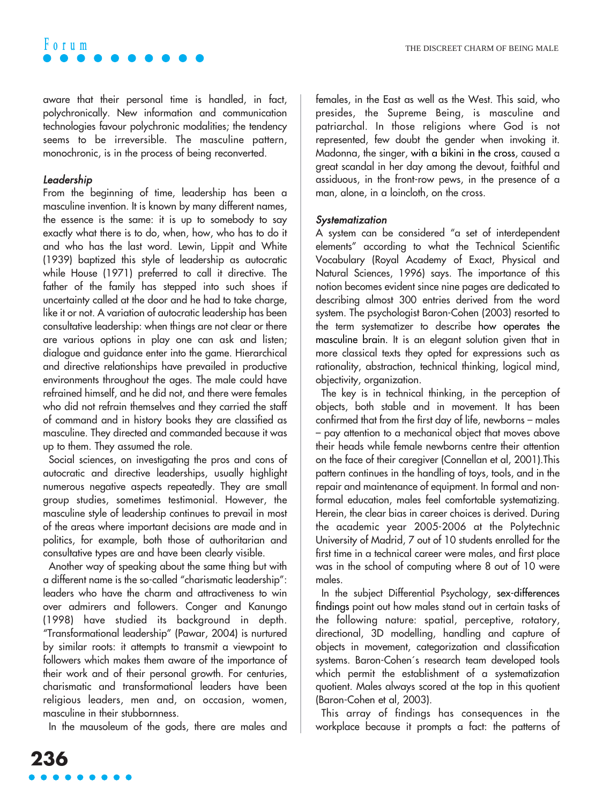aware that their personal time is handled, in fact, polychronically. New information and communication technologies favour polychronic modalities; the tendency seems to be irreversible. The masculine pattern, monochronic, is in the process of being reconverted.

#### Leadership

From the beginning of time, leadership has been a masculine invention. It is known by many different names, the essence is the same: it is up to somebody to say exactly what there is to do, when, how, who has to do it and who has the last word. Lewin, Lippit and White (1939) baptized this style of leadership as autocratic while House (1971) preferred to call it directive. The father of the family has stepped into such shoes if uncertainty called at the door and he had to take charge, like it or not. A variation of autocratic leadership has been consultative leadership: when things are not clear or there are various options in play one can ask and listen; dialogue and guidance enter into the game. Hierarchical and directive relationships have prevailed in productive environments throughout the ages. The male could have refrained himself, and he did not, and there were females who did not refrain themselves and they carried the staff of command and in history books they are classified as masculine. They directed and commanded because it was up to them. They assumed the role.

Social sciences, on investigating the pros and cons of autocratic and directive leaderships, usually highlight numerous negative aspects repeatedly. They are small group studies, sometimes testimonial. However, the masculine style of leadership continues to prevail in most of the areas where important decisions are made and in politics, for example, both those of authoritarian and consultative types are and have been clearly visible.

Another way of speaking about the same thing but with a different name is the so-called "charismatic leadership": leaders who have the charm and attractiveness to win over admirers and followers. Conger and Kanungo (1998) have studied its background in depth. "Transformational leadership" (Pawar, 2004) is nurtured by similar roots: it attempts to transmit a viewpoint to followers which makes them aware of the importance of their work and of their personal growth. For centuries, charismatic and transformational leaders have been religious leaders, men and, on occasion, women, masculine in their stubbornness.

In the mausoleum of the gods, there are males and

females, in the East as well as the West. This said, who presides, the Supreme Being, is masculine and patriarchal. In those religions where God is not represented, few doubt the gender when invoking it. Madonna, the singer, with a bikini in the cross, caused a great scandal in her day among the devout, faithful and assiduous, in the front-row pews, in the presence of a man, alone, in a loincloth, on the cross.

#### **Systematization**

A system can be considered "a set of interdependent elements" according to what the Technical Scientific Vocabulary (Royal Academy of Exact, Physical and Natural Sciences, 1996) says. The importance of this notion becomes evident since nine pages are dedicated to describing almost 300 entries derived from the word system. The psychologist Baron-Cohen (2003) resorted to the term systematizer to describe how operates the masculine brain. It is an elegant solution given that in more classical texts they opted for expressions such as rationality, abstraction, technical thinking, logical mind, objectivity, organization.

The key is in technical thinking, in the perception of objects, both stable and in movement. It has been confirmed that from the first day of life, newborns – males – pay attention to a mechanical object that moves above their heads while female newborns centre their attention on the face of their caregiver (Connellan et al, 2001).This pattern continues in the handling of toys, tools, and in the repair and maintenance of equipment. In formal and nonformal education, males feel comfortable systematizing. Herein, the clear bias in career choices is derived. During the academic year 2005-2006 at the Polytechnic University of Madrid, 7 out of 10 students enrolled for the first time in a technical career were males, and first place was in the school of computing where 8 out of 10 were males.

In the subject Differential Psychology, sex-differences findings point out how males stand out in certain tasks of the following nature: spatial, perceptive, rotatory, directional, 3D modelling, handling and capture of objects in movement, categorization and classification systems. Baron-Cohen´s research team developed tools which permit the establishment of a systematization quotient. Males always scored at the top in this quotient (Baron-Cohen et al, 2003).

This array of findings has consequences in the workplace because it prompts a fact: the patterns of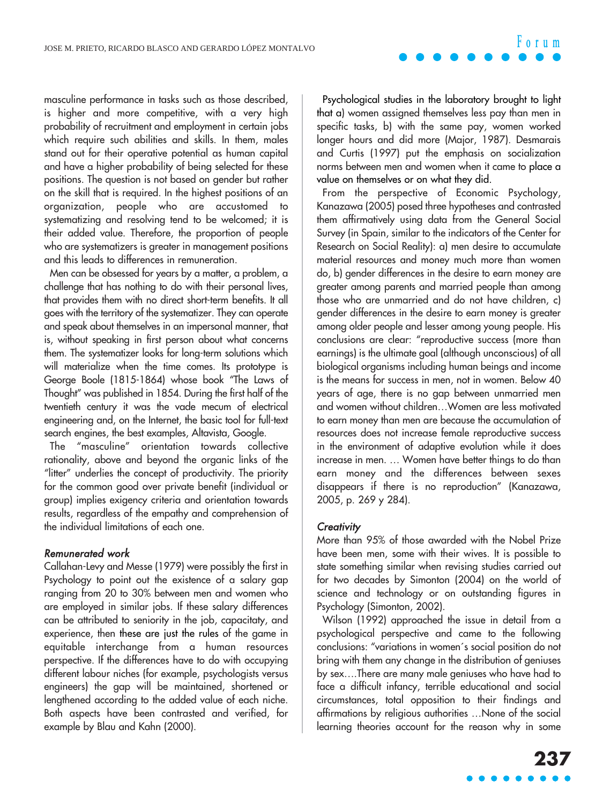#### masculine performance in tasks such as those described, is higher and more competitive, with a very high probability of recruitment and employment in certain jobs which require such abilities and skills. In them, males stand out for their operative potential as human capital and have a higher probability of being selected for these positions. The question is not based on gender but rather on the skill that is required. In the highest positions of an organization, people who are accustomed to systematizing and resolving tend to be welcomed; it is their added value. Therefore, the proportion of people who are systematizers is areater in management positions and this leads to differences in remuneration.

Men can be obsessed for years by a matter, a problem, a challenge that has nothing to do with their personal lives, that provides them with no direct short-term benefits. It all goes with the territory of the systematizer. They can operate and speak about themselves in an impersonal manner, that is, without speaking in first person about what concerns them. The systematizer looks for long-term solutions which will materialize when the time comes. Its prototype is George Boole (1815-1864) whose book "The Laws of Thought" was published in 1854. During the first half of the twentieth century it was the vade mecum of electrical engineering and, on the Internet, the basic tool for full-text search engines, the best examples, Altavista, Google.

The "masculine" orientation towards collective rationality, above and beyond the organic links of the "litter" underlies the concept of productivity. The priority for the common good over private benefit (individual or group) implies exigency criteria and orientation towards results, regardless of the empathy and comprehension of the individual limitations of each one.

#### Remunerated work

Callahan-Levy and Messe (1979) were possibly the first in Psychology to point out the existence of a salary gap ranging from 20 to 30% between men and women who are employed in similar jobs. If these salary differences can be attributed to seniority in the job, capacitaty, and experience, then these are just the rules of the game in equitable interchange from a human resources perspective. If the differences have to do with occupying different labour niches (for example, psychologists versus engineers) the gap will be maintained, shortened or lengthened according to the added value of each niche. Both aspects have been contrasted and verified, for example by Blau and Kahn (2000).

Psychological studies in the laboratory brought to light that a) women assigned themselves less pay than men in specific tasks, b) with the same pay, women worked longer hours and did more (Major, 1987). Desmarais and Curtis (1997) put the emphasis on socialization norms between men and women when it came to place a value on themselves or on what they did.

From the perspective of Economic Psychology, Kanazawa (2005) posed three hypotheses and contrasted them affirmatively using data from the General Social Survey (in Spain, similar to the indicators of the Center for Research on Social Reality): a) men desire to accumulate material resources and money much more than women do, b) gender differences in the desire to earn money are greater among parents and married people than among those who are unmarried and do not have children, c) gender differences in the desire to earn money is greater among older people and lesser among young people. His conclusions are clear: "reproductive success (more than earnings) is the ultimate goal (although unconscious) of all biological organisms including human beings and income is the means for success in men, not in women. Below 40 years of age, there is no gap between unmarried men and women without children…Women are less motivated to earn money than men are because the accumulation of resources does not increase female reproductive success in the environment of adaptive evolution while it does increase in men. … Women have better things to do than earn money and the differences between sexes disappears if there is no reproduction" (Kanazawa, 2005, p. 269 y 284).

#### **Creativity**

More than 95% of those awarded with the Nobel Prize have been men, some with their wives. It is possible to state something similar when revising studies carried out for two decades by Simonton (2004) on the world of science and technology or on outstanding figures in Psychology (Simonton, 2002).

Wilson (1992) approached the issue in detail from a psychological perspective and came to the following conclusions: "variations in women´s social position do not bring with them any change in the distribution of geniuses by sex….There are many male geniuses who have had to face a difficult infancy, terrible educational and social circumstances, total opposition to their findings and affirmations by religious authorities …None of the social learning theories account for the reason why in some

### **Forum**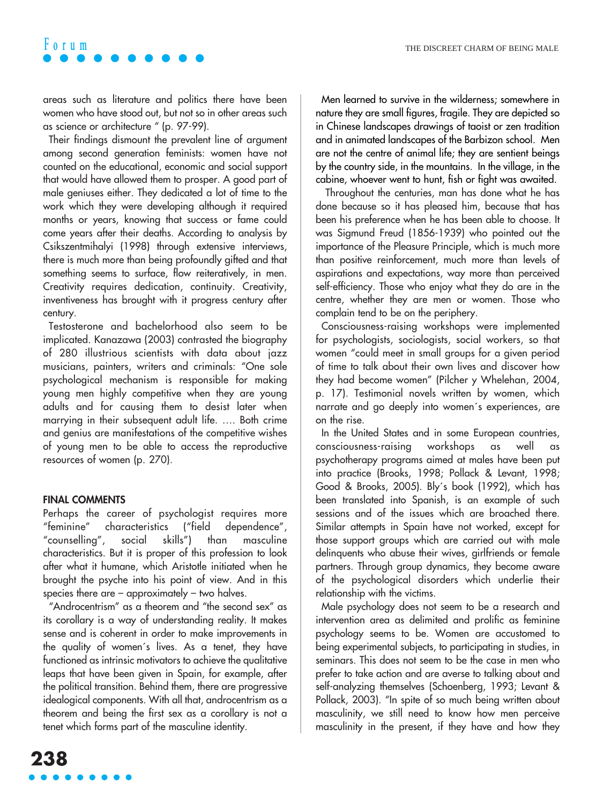areas such as literature and politics there have been women who have stood out, but not so in other areas such as science or architecture " (p. 97-99).

Their findings dismount the prevalent line of argument among second generation feminists: women have not counted on the educational, economic and social support that would have allowed them to prosper. A good part of male geniuses either. They dedicated a lot of time to the work which they were developing although it required months or years, knowing that success or fame could come years after their deaths. According to analysis by Csikszentmihalyi (1998) through extensive interviews, there is much more than being profoundly gifted and that something seems to surface, flow reiteratively, in men. Creativity requires dedication, continuity. Creativity, inventiveness has brought with it progress century after century.

Testosterone and bachelorhood also seem to be implicated. Kanazawa (2003) contrasted the biography of 280 illustrious scientists with data about jazz musicians, painters, writers and criminals: "One sole psychological mechanism is responsible for making young men highly competitive when they are young adults and for causing them to desist later when marrying in their subsequent adult life. …. Both crime and genius are manifestations of the competitive wishes of young men to be able to access the reproductive resources of women (p. 270).

#### **FINAL COMMENTS**

Perhaps the career of psychologist requires more "feminine" characteristics ("field dependence", "counselling", social skills") than masculine characteristics. But it is proper of this profession to look after what it humane, which Aristotle initiated when he brought the psyche into his point of view. And in this species there are – approximately – two halves.

"Androcentrism" as a theorem and "the second sex" as its corollary is a way of understanding reality. It makes sense and is coherent in order to make improvements in the quality of women´s lives. As a tenet, they have functioned as intrinsic motivators to achieve the qualitative leaps that have been given in Spain, for example, after the political transition. Behind them, there are progressive idealogical components. With all that, androcentrism as a theorem and being the first sex as a corollary is not a tenet which forms part of the masculine identity.

Men learned to survive in the wilderness; somewhere in nature they are small figures, fragile. They are depicted so in Chinese landscapes drawings of taoist or zen tradition and in animated landscapes of the Barbizon school. Men are not the centre of animal life; they are sentient beings by the country side, in the mountains. In the village, in the cabine, whoever went to hunt, fish or fight was awaited.

Throughout the centuries, man has done what he has done because so it has pleased him, because that has been his preference when he has been able to choose. It was Sigmund Freud (1856-1939) who pointed out the importance of the Pleasure Principle, which is much more than positive reinforcement, much more than levels of aspirations and expectations, way more than perceived self-efficiency. Those who enjoy what they do are in the centre, whether they are men or women. Those who complain tend to be on the periphery.

Consciousness-raising workshops were implemented for psychologists, sociologists, social workers, so that women "could meet in small groups for a given period of time to talk about their own lives and discover how they had become women" (Pilcher y Whelehan, 2004, p. 17). Testimonial novels written by women, which narrate and go deeply into women´s experiences, are on the rise.

In the United States and in some European countries, consciousness-raising workshops as well as psychotherapy programs aimed at males have been put into practice (Brooks, 1998; Pollack & Levant, 1998; Good & Brooks, 2005). Bly´s book (1992), which has been translated into Spanish, is an example of such sessions and of the issues which are broached there. Similar attempts in Spain have not worked, except for those support groups which are carried out with male delinquents who abuse their wives, girlfriends or female partners. Through group dynamics, they become aware of the psychological disorders which underlie their relationship with the victims.

Male psychology does not seem to be a research and intervention area as delimited and prolific as feminine psychology seems to be. Women are accustomed to being experimental subjects, to participating in studies, in seminars. This does not seem to be the case in men who prefer to take action and are averse to talking about and self-analyzing themselves (Schoenberg, 1993; Levant & Pollack, 2003). "In spite of so much being written about masculinity, we still need to know how men perceive masculinity in the present, if they have and how they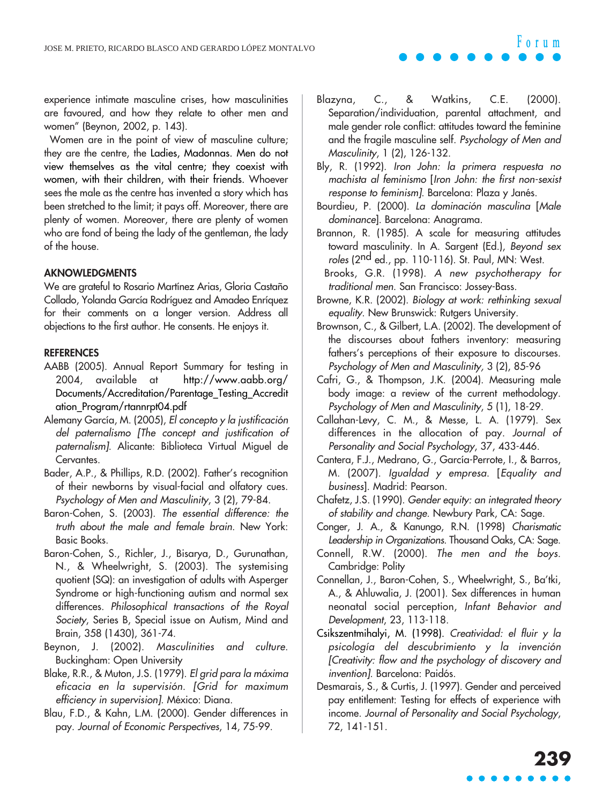experience intimate masculine crises, how masculinities are favoured, and how they relate to other men and women" (Beynon, 2002, p. 143).

Women are in the point of view of masculine culture; they are the centre, the Ladies, Madonnas. Men do not view themselves as the vital centre; they coexist with women, with their children, with their friends. Whoever sees the male as the centre has invented a story which has been stretched to the limit; it pays off. Moreover, there are plenty of women. Moreover, there are plenty of women who are fond of being the lady of the gentleman, the lady of the house.

#### **AKNOWLEDGMENTS**

We are grateful to Rosario Martínez Arias, Gloria Castaño Collado, Yolanda García Rodríguez and Amadeo Enríquez for their comments on a longer version. Address all objections to the first author. He consents. He enjoys it.

#### **REFERENCES**

- AABB (2005). Annual Report Summary for testing in 2004, available at http://www.aabb.org/ Documents/Accreditation/Parentage\_Testing\_Accredit ation\_Program/rtannrpt04.pdf
- Alemany García, M. (2005), El concepto y la justificación del paternalismo [The concept and justification of paternalism]. Alicante: Biblioteca Virtual Miguel de Cervantes.
- Bader, A.P., & Phillips, R.D. (2002). Father's recognition of their newborns by visual-facial and olfatory cues. Psychology of Men and Masculinity, 3 (2), 79-84.
- Baron-Cohen, S. (2003). The essential difference: the truth about the male and female brain. New York: Basic Books.
- Baron-Cohen, S., Richler, J., Bisarya, D., Gurunathan, N., & Wheelwright, S. (2003). The systemising quotient (SQ): an investigation of adults with Asperger Syndrome or high-functioning autism and normal sex differences. Philosophical transactions of the Royal Society, Series B, Special issue on Autism, Mind and Brain, 358 (1430), 361-74.
- Beynon, J. (2002). Masculinities and culture. Buckingham: Open University
- Blake, R.R., & Muton, J.S. (1979). El grid para la máxima eficacia en la supervisión. [Grid for maximum efficiency in supervision]. México: Diana.
- Blau, F.D., & Kahn, L.M. (2000). Gender differences in pay. Journal of Economic Perspectives, 14, 75-99.

Blazyna, C., & Watkins, C.E. (2000). Separation/individuation, parental attachment, and male gender role conflict: attitudes toward the feminine and the fragile masculine self. Psychology of Men and Masculinity, 1 (2), 126-132.

Bly, R. (1992). Iron John: la primera respuesta no machista al feminismo [Iron John: the first non-sexist response to feminism]. Barcelona: Plaza y Janés.

Bourdieu, P. (2000). La dominación masculina [Male dominance]. Barcelona: Anagrama.

Brannon, R. (1985). A scale for measuring attitudes toward masculinity. In A. Sargent (Ed.), Beyond sex roles (2nd ed., pp. 110-116). St. Paul, MN: West.

Brooks, G.R. (1998). A new psychotherapy for traditional men. San Francisco: Jossey-Bass.

- Browne, K.R. (2002). Biology at work: rethinking sexual equality. New Brunswick: Rutgers University.
- Brownson, C., & Gilbert, L.A. (2002). The development of the discourses about fathers inventory: measuring fathers's perceptions of their exposure to discourses. Psychology of Men and Masculinity, 3 (2), 85-96
- Cafri, G., & Thompson, J.K. (2004). Measuring male body image: a review of the current methodology. Psychology of Men and Masculinity, 5 (1), 18-29.
- Callahan-Levy, C. M., & Messe, L. A. (1979). Sex differences in the allocation of pay. Journal of Personality and Social Psychology, 37, 433-446.
- Cantera, F.J., Medrano, G., García-Perrote, I., & Barros, M. (2007). Igualdad y empresa. [Equality and business]. Madrid: Pearson.
- Chafetz, J.S. (1990). Gender equity: an integrated theory of stability and change. Newbury Park, CA: Sage.
- Conger, J. A., & Kanungo, R.N. (1998) Charismatic Leadership in Organizations. Thousand Oaks, CA: Sage.
- Connell, R.W. (2000). The men and the boys. Cambridge: Polity
- Connellan, J., Baron-Cohen, S., Wheelwright, S., Ba'tki, A., & Ahluwalia, J. (2001). Sex differences in human neonatal social perception, Infant Behavior and Development, 23, 113-118.
- Csikszentmihalyi, M. (1998). Creatividad: el fluir y la psicología del descubrimiento y la invención [Creativity: flow and the psychology of discovery and invention]. Barcelona: Paidós.
- Desmarais, S., & Curtis, J. (1997). Gender and perceived pay entitlement: Testing for effects of experience with income. Journal of Personality and Social Psychology, 72, 141-151.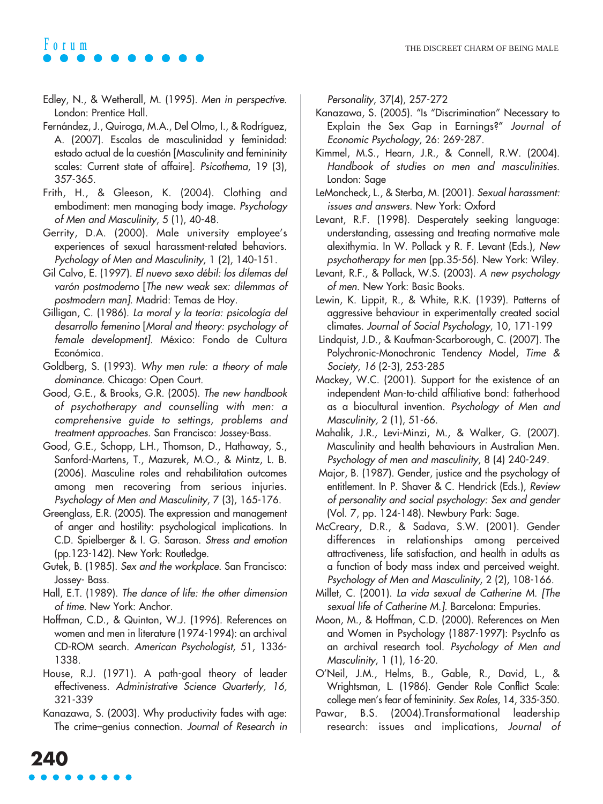- Edley, N., & Wetherall, M. (1995). Men in perspective. London: Prentice Hall.
- Fernández, J., Quiroga, M.A., Del Olmo, I., & Rodríguez, A. (2007). Escalas de masculinidad y feminidad: estado actual de la cuestión [Masculinity and femininity scales: Current state of affaire]. Psicothema, 19 (3), 357-365.
- Frith, H., & Gleeson, K. (2004). Clothing and embodiment: men managing body image. Psychology of Men and Masculinity, 5 (1), 40-48.
- Gerrity, D.A. (2000). Male university employee's experiences of sexual harassment-related behaviors. Pychology of Men and Masculinity, 1 (2), 140-151.
- Gil Calvo, E. (1997). El nuevo sexo débil: los dilemas del varón postmoderno [The new weak sex: dilemmas of postmodern man]. Madrid: Temas de Hoy.
- Gilligan, C. (1986). La moral y la teoría: psicología del desarrollo femenino [Moral and theory: psychology of female development]. México: Fondo de Cultura Económica.
- Goldberg, S. (1993). Why men rule: a theory of male dominance. Chicago: Open Court.
- Good, G.E., & Brooks, G.R. (2005). The new handbook of psychotherapy and counselling with men: a comprehensive guide to settings, problems and treatment approaches. San Francisco: Jossey-Bass.
- Good, G.E., Schopp, L.H., Thomson, D., Hathaway, S., Sanford-Martens, T., Mazurek, M.O., & Mintz, L. B. (2006). Masculine roles and rehabilitation outcomes among men recovering from serious injuries. Psychology of Men and Masculinity, 7 (3), 165-176.
- Greenglass, E.R. (2005). The expression and management of anger and hostility: psychological implications. In C.D. Spielberger & I. G. Sarason. Stress and emotion (pp.123-142). New York: Routledge.
- Gutek, B. (1985). Sex and the workplace. San Francisco: Jossey- Bass.
- Hall, E.T. (1989). The dance of life: the other dimension of time. New York: Anchor.
- Hoffman, C.D., & Quinton, W.J. (1996). References on women and men in literature (1974-1994): an archival CD-ROM search. American Psychologist, 51, 1336- 1338.
- House, R.J. (1971). A path-goal theory of leader effectiveness. Administrative Science Quarterly, 16, 321-339
- Kanazawa, S. (2003). Why productivity fades with age: The crime–genius connection. Journal of Research in

**240**

Personality, 37(4), 257-272

- Kanazawa, S. (2005). "Is "Discrimination" Necessary to Explain the Sex Gap in Earnings?" Journal of Economic Psychology, 26: 269-287.
- Kimmel, M.S., Hearn, J.R., & Connell, R.W. (2004). Handbook of studies on men and masculinities. London: Sage
- LeMoncheck, L., & Sterba, M. (2001). Sexual harassment: issues and answers. New York: Oxford
- Levant, R.F. (1998). Desperately seeking language: understanding, assessing and treating normative male alexithymia. In W. Pollack y R. F. Levant (Eds.), New psychotherapy for men (pp.35-56). New York: Wiley.
- Levant, R.F., & Pollack, W.S. (2003). A new psychology of men. New York: Basic Books.
- Lewin, K. Lippit, R., & White, R.K. (1939). Patterns of aggressive behaviour in experimentally created social climates. Journal of Social Psychology, 10, 171-199
- Lindquist, J.D., & Kaufman-Scarborough, C. (2007). The Polychronic-Monochronic Tendency Model, Time & Society, 16 (2-3), 253-285
- Mackey, W.C. (2001). Support for the existence of an independent Man-to-child affiliative bond: fatherhood as a biocultural invention. Psychology of Men and Masculinity, 2 (1), 51-66.
- Mahalik, J.R., Levi-Minzi, M., & Walker, G. (2007). Masculinity and health behaviours in Australian Men. Psychology of men and masculinity, 8 (4) 240-249.
- Major, B. (1987). Gender, justice and the psychology of entitlement. In P. Shaver & C. Hendrick (Eds.), Review of personality and social psychology: Sex and gender (Vol. 7, pp. 124-148). Newbury Park: Sage.
- McCreary, D.R., & Sadava, S.W. (2001). Gender differences in relationships among perceived attractiveness, life satisfaction, and health in adults as a function of body mass index and perceived weight. Psychology of Men and Masculinity, 2 (2), 108-166.
- Millet, C. (2001). La vida sexual de Catherine M. [The sexual life of Catherine M.]. Barcelona: Empuries.
- Moon, M., & Hoffman, C.D. (2000). References on Men and Women in Psychology (1887-1997): PsycInfo as an archival research tool. Psychology of Men and Masculinity, 1 (1), 16-20.
- O'Neil, J.M., Helms, B., Gable, R., David, L., & Wrightsman, L. (1986). Gender Role Conflict Scale: college men's fear of femininity. Sex Roles, 14, 335-350.
- Pawar, B.S. (2004).Transformational leadership research: issues and implications, Journal of